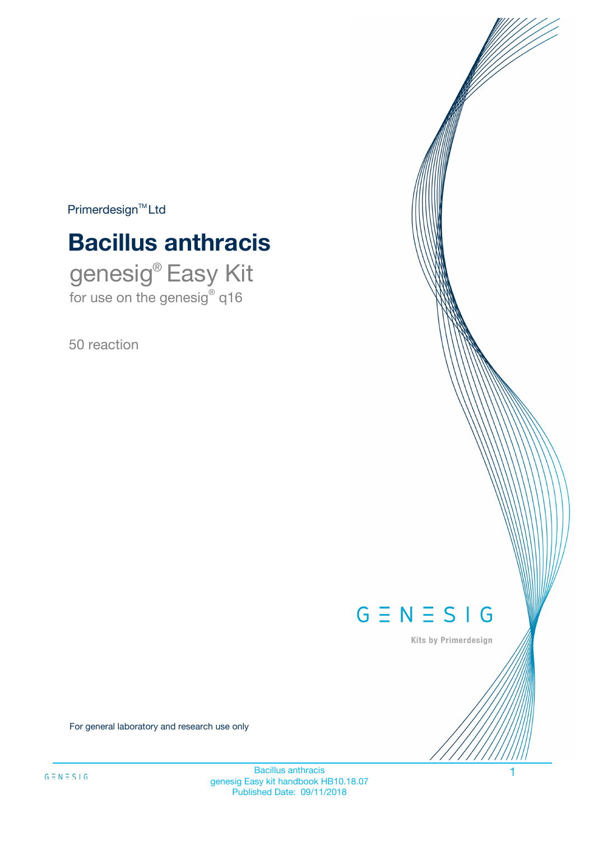$Primerdesign^{\text{TM}}Ltd$ 

# **Bacillus anthracis**

genesig® Easy Kit for use on the genesig® q16

50 reaction



Kits by Primerdesign

For general laboratory and research use only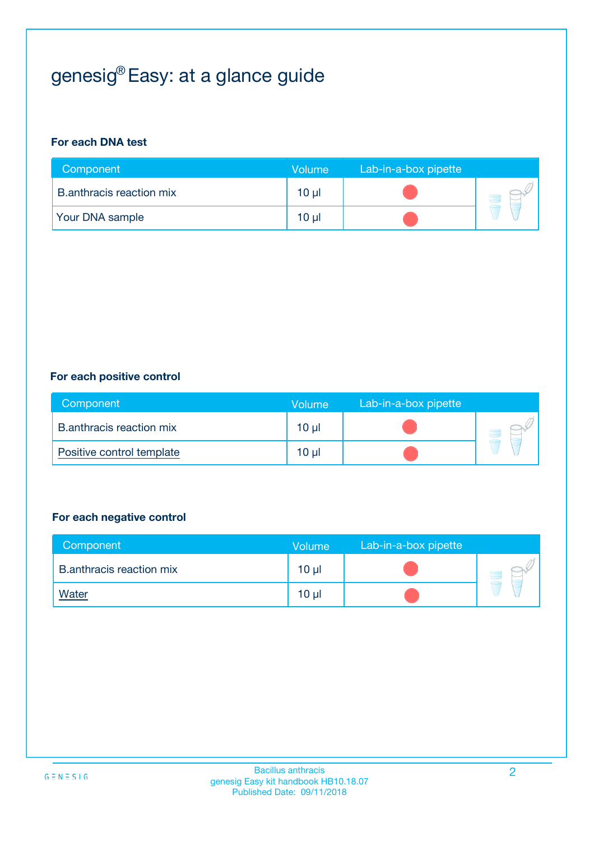# genesig® Easy: at a glance guide

#### **For each DNA test**

| Component                | <b>Volume</b>   | Lab-in-a-box pipette |  |
|--------------------------|-----------------|----------------------|--|
| B.anthracis reaction mix | $10 \mu$        |                      |  |
| <b>Your DNA sample</b>   | 10 <sub>µ</sub> |                      |  |

#### **For each positive control**

| Component                       | Volume          | Lab-in-a-box pipette |  |
|---------------------------------|-----------------|----------------------|--|
| <b>B.anthracis reaction mix</b> | 10 <sub>µ</sub> |                      |  |
| Positive control template       | 10 µl           |                      |  |

#### **For each negative control**

| Component                       | <b>Volume</b>   | Lab-in-a-box pipette |  |
|---------------------------------|-----------------|----------------------|--|
| <b>B.anthracis reaction mix</b> | 10 <sub>µ</sub> |                      |  |
| <u>Water</u>                    | 10 <sub>µ</sub> |                      |  |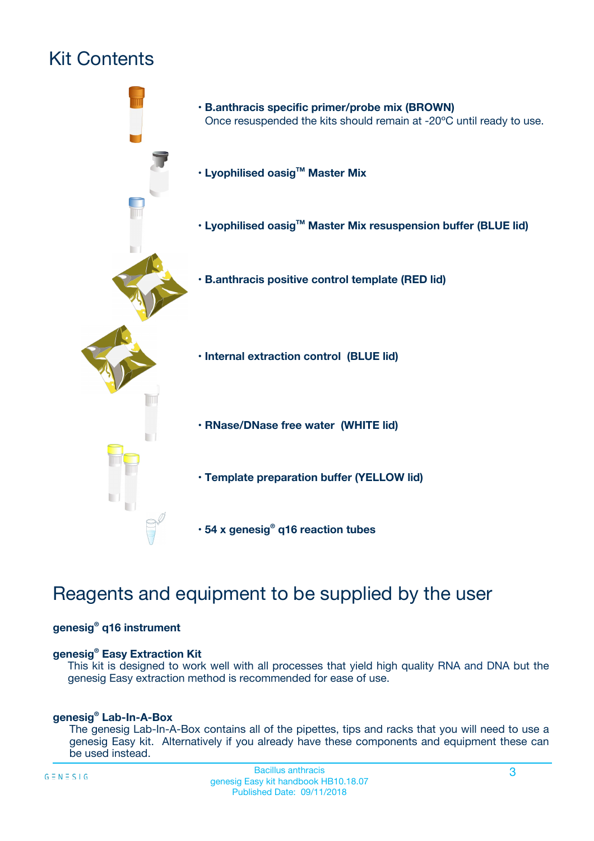# Kit Contents



## Reagents and equipment to be supplied by the user

#### **genesig® q16 instrument**

#### **genesig® Easy Extraction Kit**

This kit is designed to work well with all processes that yield high quality RNA and DNA but the genesig Easy extraction method is recommended for ease of use.

#### **genesig® Lab-In-A-Box**

The genesig Lab-In-A-Box contains all of the pipettes, tips and racks that you will need to use a genesig Easy kit. Alternatively if you already have these components and equipment these can be used instead.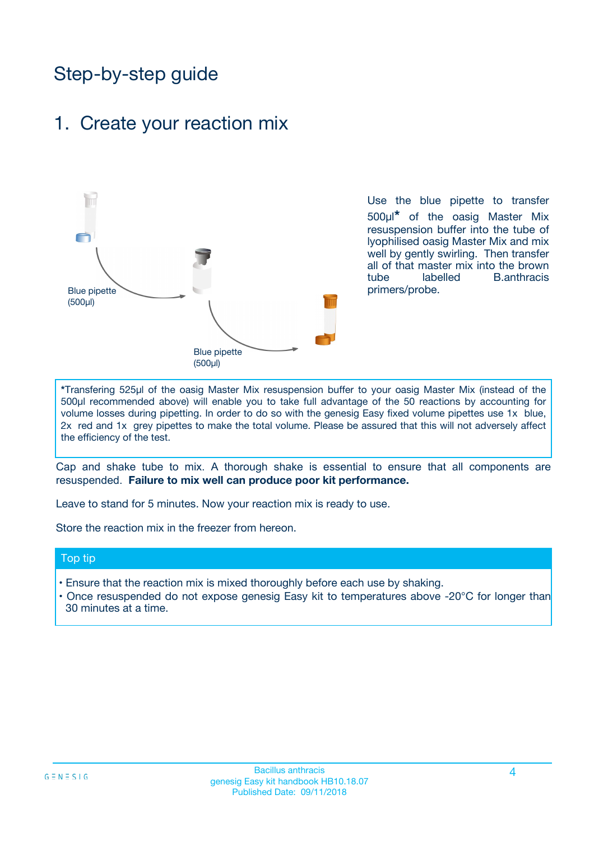## Step-by-step guide

### 1. Create your reaction mix



Use the blue pipette to transfer 500µl**\*** of the oasig Master Mix resuspension buffer into the tube of lyophilised oasig Master Mix and mix well by gently swirling. Then transfer all of that master mix into the brown tube labelled B.anthracis primers/probe.

**\***Transfering 525µl of the oasig Master Mix resuspension buffer to your oasig Master Mix (instead of the 500µl recommended above) will enable you to take full advantage of the 50 reactions by accounting for volume losses during pipetting. In order to do so with the genesig Easy fixed volume pipettes use 1x blue, 2x red and 1x grey pipettes to make the total volume. Please be assured that this will not adversely affect the efficiency of the test.

Cap and shake tube to mix. A thorough shake is essential to ensure that all components are resuspended. **Failure to mix well can produce poor kit performance.**

Leave to stand for 5 minutes. Now your reaction mix is ready to use.

Store the reaction mix in the freezer from hereon.

#### Top tip

- Ensure that the reaction mix is mixed thoroughly before each use by shaking.
- Once resuspended do not expose genesig Easy kit to temperatures above -20°C for longer than 30 minutes at a time.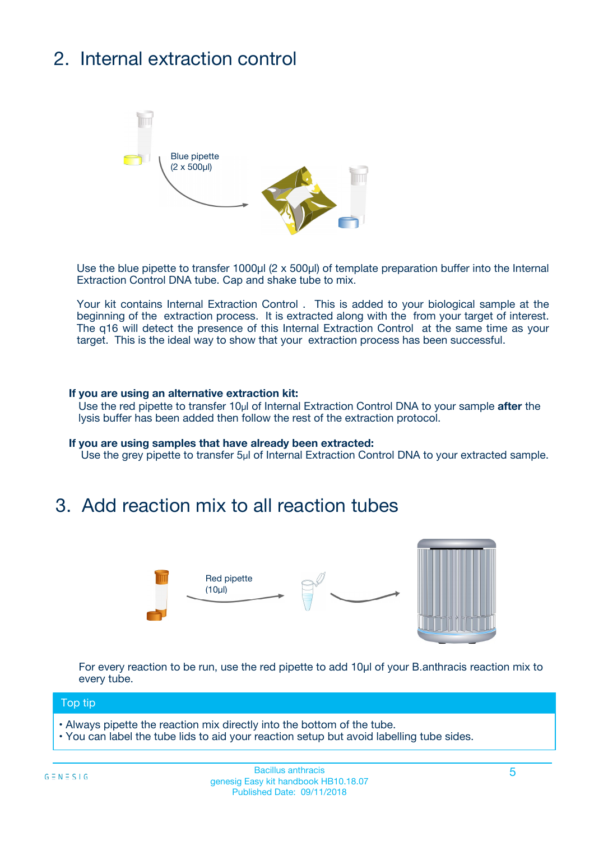# 2. Internal extraction control



Use the blue pipette to transfer 1000µl (2 x 500µl) of template preparation buffer into the Internal Extraction Control DNA tube. Cap and shake tube to mix.

Your kit contains Internal Extraction Control . This is added to your biological sample at the beginning of the extraction process. It is extracted along with the from your target of interest. The q16 will detect the presence of this Internal Extraction Control at the same time as your target. This is the ideal way to show that your extraction process has been successful.

#### **If you are using an alternative extraction kit:**

Use the red pipette to transfer 10µl of Internal Extraction Control DNA to your sample **after** the lysis buffer has been added then follow the rest of the extraction protocol.

#### **If you are using samples that have already been extracted:**

Use the grey pipette to transfer 5µl of Internal Extraction Control DNA to your extracted sample.

### 3. Add reaction mix to all reaction tubes



For every reaction to be run, use the red pipette to add 10µl of your B.anthracis reaction mix to every tube.

#### Top tip

- Always pipette the reaction mix directly into the bottom of the tube.
- You can label the tube lids to aid your reaction setup but avoid labelling tube sides.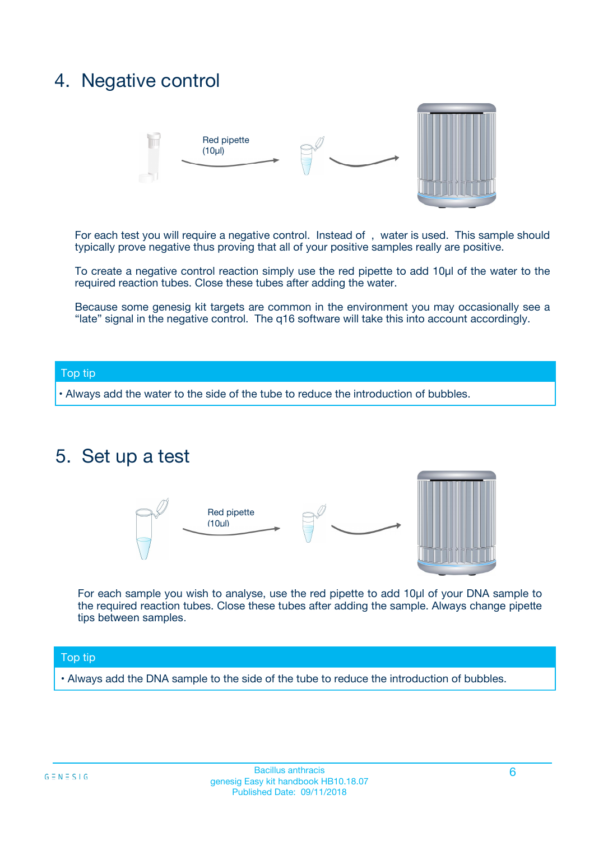### 4. Negative control



For each test you will require a negative control. Instead of , water is used. This sample should typically prove negative thus proving that all of your positive samples really are positive.

To create a negative control reaction simply use the red pipette to add 10µl of the water to the required reaction tubes. Close these tubes after adding the water.

Because some genesig kit targets are common in the environment you may occasionally see a "late" signal in the negative control. The q16 software will take this into account accordingly.

#### Top tip

**•** Always add the water to the side of the tube to reduce the introduction of bubbles.

### 5. Set up a test



For each sample you wish to analyse, use the red pipette to add 10µl of your DNA sample to the required reaction tubes. Close these tubes after adding the sample. Always change pipette tips between samples.

#### Top tip

**•** Always add the DNA sample to the side of the tube to reduce the introduction of bubbles.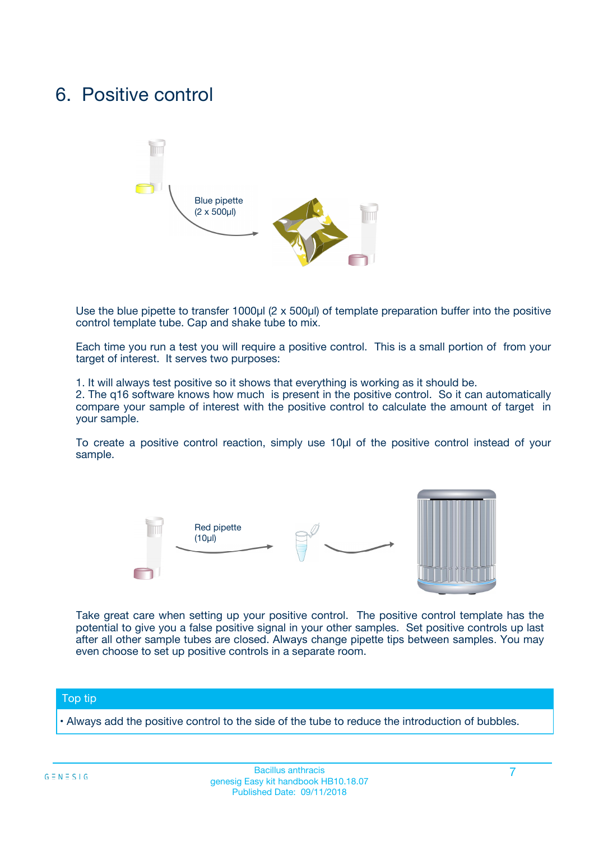### 6. Positive control



Use the blue pipette to transfer 1000µl (2 x 500µl) of template preparation buffer into the positive control template tube. Cap and shake tube to mix.

Each time you run a test you will require a positive control. This is a small portion of from your target of interest. It serves two purposes:

1. It will always test positive so it shows that everything is working as it should be.

2. The q16 software knows how much is present in the positive control. So it can automatically compare your sample of interest with the positive control to calculate the amount of target in your sample.

To create a positive control reaction, simply use 10µl of the positive control instead of your sample.



Take great care when setting up your positive control. The positive control template has the potential to give you a false positive signal in your other samples. Set positive controls up last after all other sample tubes are closed. Always change pipette tips between samples. You may even choose to set up positive controls in a separate room.

#### Top tip

**•** Always add the positive control to the side of the tube to reduce the introduction of bubbles.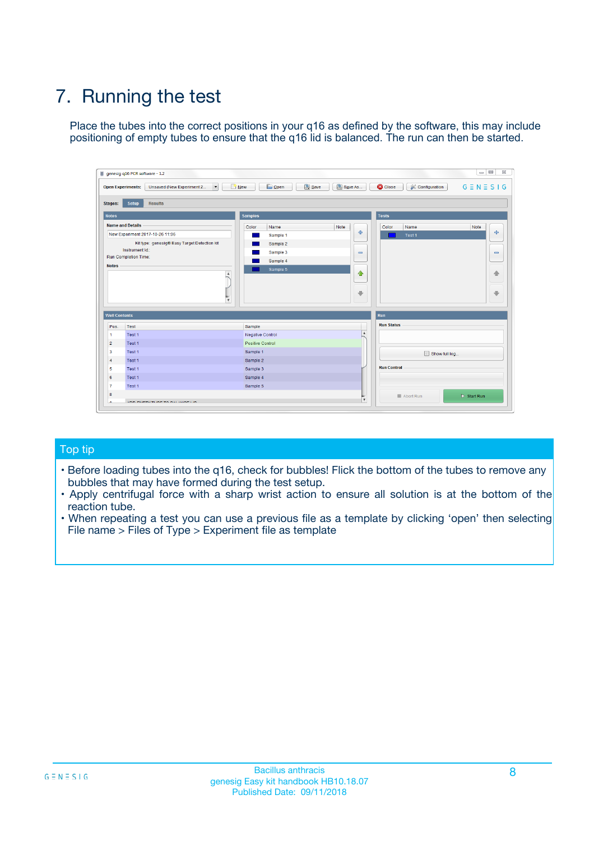# 7. Running the test

Place the tubes into the correct positions in your q16 as defined by the software, this may include positioning of empty tubes to ensure that the q16 lid is balanced. The run can then be started.

| qenesig q16 PCR software - 1.2                                               |                                   | $\Box$                                                                                          |
|------------------------------------------------------------------------------|-----------------------------------|-------------------------------------------------------------------------------------------------|
| $\vert \cdot \vert$<br>Unsaved (New Experiment 2<br><b>Open Experiments:</b> | <b>D</b> Open<br>R <sub>New</sub> | Save<br>Save As<br><b>C</b> Close<br><b>&amp; Configuration</b><br>$G \equiv N \equiv S \mid G$ |
| <b>Setup</b><br><b>Results</b><br>Stages:                                    |                                   |                                                                                                 |
| <b>Notes</b>                                                                 | <b>Samples</b>                    | <b>Tests</b>                                                                                    |
| <b>Name and Details</b>                                                      | Name<br>Color                     | Note<br>Color<br>Note<br>Name                                                                   |
| New Experiment 2017-10-26 11:06                                              | Sample 1                          | ÷<br>条<br>Test 1                                                                                |
| Kit type: genesig® Easy Target Detection kit                                 | Sample 2                          |                                                                                                 |
| Instrument Id.:                                                              | Sample 3                          | $\qquad \qquad \blacksquare$<br>$\qquad \qquad \blacksquare$                                    |
| <b>Run Completion Time:</b>                                                  | Sample 4                          |                                                                                                 |
| <b>Notes</b><br><b>A</b><br>$\overline{\mathbf v}$                           | Sample 5                          | ♦<br>4<br>÷<br>₩                                                                                |
| <b>Well Contents</b>                                                         |                                   | <b>Run</b>                                                                                      |
| Pos.<br>Test                                                                 | Sample                            | <b>Run Status</b>                                                                               |
| Test 1<br>$\blacktriangleleft$                                               | Negative Control                  | $\blacktriangle$                                                                                |
| $\overline{2}$<br>Test 1                                                     | <b>Positive Control</b>           |                                                                                                 |
| $\overline{\mathbf{3}}$<br>Test 1                                            | Sample 1                          | Show full log                                                                                   |
| Test 1<br>4                                                                  | Sample 2                          |                                                                                                 |
| 5<br>Test 1                                                                  | Sample 3                          | <b>Run Control</b>                                                                              |
| Test 1<br>6                                                                  | Sample 4                          |                                                                                                 |
| $\overline{7}$<br>Test 1                                                     | Sample 5                          |                                                                                                 |
| 8                                                                            |                                   | $\triangleright$ Start Run<br>Abort Run                                                         |
| <b>JOD FURTY TUDE TO BUILDED IN</b>                                          |                                   | $\overline{\mathbf{v}}$                                                                         |

#### Top tip

- Before loading tubes into the q16, check for bubbles! Flick the bottom of the tubes to remove any bubbles that may have formed during the test setup.
- Apply centrifugal force with a sharp wrist action to ensure all solution is at the bottom of the reaction tube.
- When repeating a test you can use a previous file as a template by clicking 'open' then selecting File name > Files of Type > Experiment file as template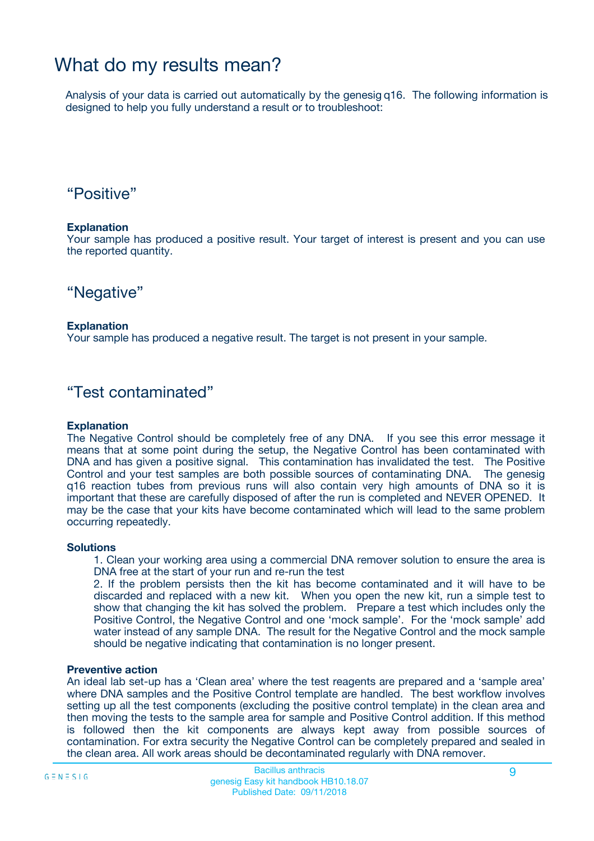## What do my results mean?

Analysis of your data is carried out automatically by the genesig q16. The following information is designed to help you fully understand a result or to troubleshoot:

### "Positive"

#### **Explanation**

Your sample has produced a positive result. Your target of interest is present and you can use the reported quantity.

"Negative"

#### **Explanation**

Your sample has produced a negative result. The target is not present in your sample.

### "Test contaminated"

#### **Explanation**

The Negative Control should be completely free of any DNA. If you see this error message it means that at some point during the setup, the Negative Control has been contaminated with DNA and has given a positive signal. This contamination has invalidated the test. The Positive Control and your test samples are both possible sources of contaminating DNA. The genesig q16 reaction tubes from previous runs will also contain very high amounts of DNA so it is important that these are carefully disposed of after the run is completed and NEVER OPENED. It may be the case that your kits have become contaminated which will lead to the same problem occurring repeatedly.

#### **Solutions**

1. Clean your working area using a commercial DNA remover solution to ensure the area is DNA free at the start of your run and re-run the test

2. If the problem persists then the kit has become contaminated and it will have to be discarded and replaced with a new kit. When you open the new kit, run a simple test to show that changing the kit has solved the problem. Prepare a test which includes only the Positive Control, the Negative Control and one 'mock sample'. For the 'mock sample' add water instead of any sample DNA. The result for the Negative Control and the mock sample should be negative indicating that contamination is no longer present.

#### **Preventive action**

An ideal lab set-up has a 'Clean area' where the test reagents are prepared and a 'sample area' where DNA samples and the Positive Control template are handled. The best workflow involves setting up all the test components (excluding the positive control template) in the clean area and then moving the tests to the sample area for sample and Positive Control addition. If this method is followed then the kit components are always kept away from possible sources of contamination. For extra security the Negative Control can be completely prepared and sealed in the clean area. All work areas should be decontaminated regularly with DNA remover.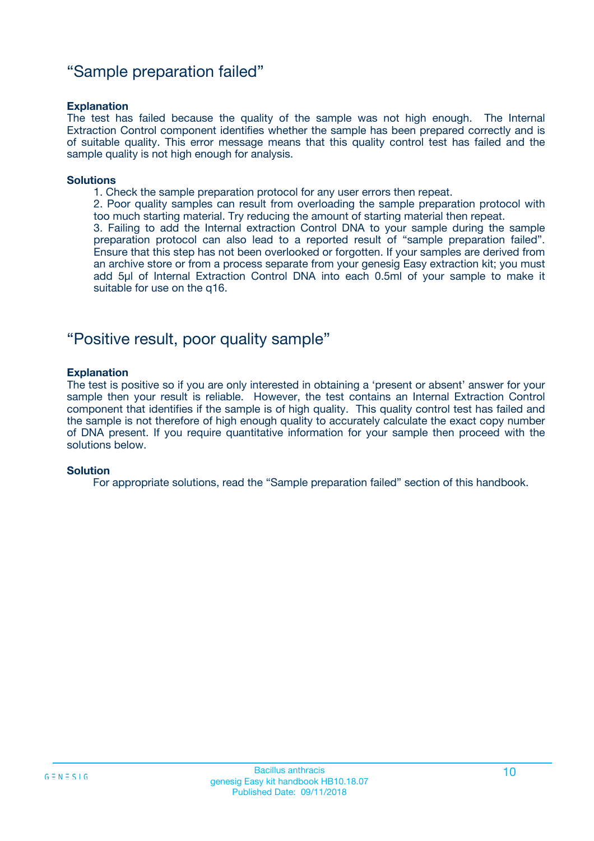### "Sample preparation failed"

#### **Explanation**

The test has failed because the quality of the sample was not high enough. The Internal Extraction Control component identifies whether the sample has been prepared correctly and is of suitable quality. This error message means that this quality control test has failed and the sample quality is not high enough for analysis.

#### **Solutions**

1. Check the sample preparation protocol for any user errors then repeat.

2. Poor quality samples can result from overloading the sample preparation protocol with too much starting material. Try reducing the amount of starting material then repeat.

3. Failing to add the Internal extraction Control DNA to your sample during the sample preparation protocol can also lead to a reported result of "sample preparation failed". Ensure that this step has not been overlooked or forgotten. If your samples are derived from an archive store or from a process separate from your genesig Easy extraction kit; you must add 5µl of Internal Extraction Control DNA into each 0.5ml of your sample to make it suitable for use on the q16.

### "Positive result, poor quality sample"

#### **Explanation**

The test is positive so if you are only interested in obtaining a 'present or absent' answer for your sample then your result is reliable. However, the test contains an Internal Extraction Control component that identifies if the sample is of high quality. This quality control test has failed and the sample is not therefore of high enough quality to accurately calculate the exact copy number of DNA present. If you require quantitative information for your sample then proceed with the solutions below.

#### **Solution**

For appropriate solutions, read the "Sample preparation failed" section of this handbook.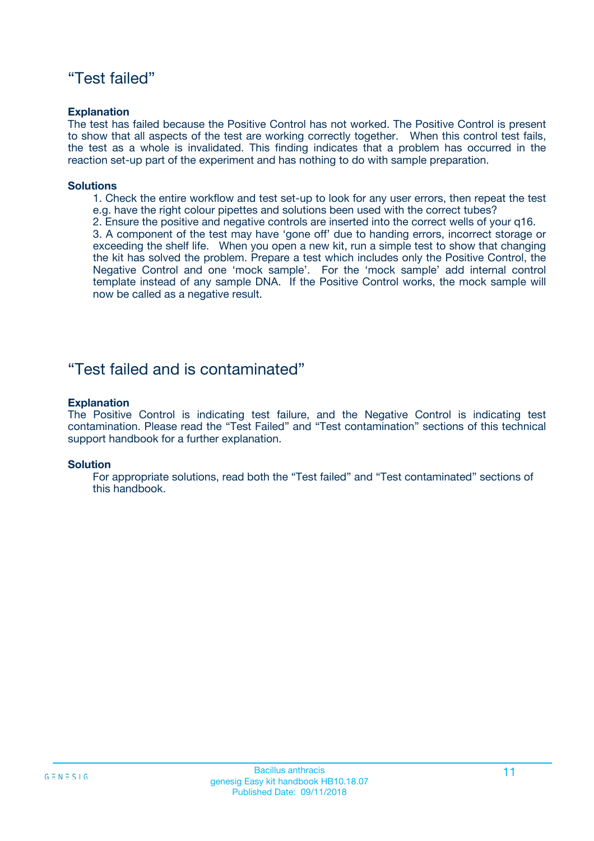### "Test failed"

#### **Explanation**

The test has failed because the Positive Control has not worked. The Positive Control is present to show that all aspects of the test are working correctly together. When this control test fails, the test as a whole is invalidated. This finding indicates that a problem has occurred in the reaction set-up part of the experiment and has nothing to do with sample preparation.

#### **Solutions**

- 1. Check the entire workflow and test set-up to look for any user errors, then repeat the test e.g. have the right colour pipettes and solutions been used with the correct tubes?
- 2. Ensure the positive and negative controls are inserted into the correct wells of your q16.

3. A component of the test may have 'gone off' due to handing errors, incorrect storage or exceeding the shelf life. When you open a new kit, run a simple test to show that changing the kit has solved the problem. Prepare a test which includes only the Positive Control, the Negative Control and one 'mock sample'. For the 'mock sample' add internal control template instead of any sample DNA. If the Positive Control works, the mock sample will now be called as a negative result.

### "Test failed and is contaminated"

#### **Explanation**

The Positive Control is indicating test failure, and the Negative Control is indicating test contamination. Please read the "Test Failed" and "Test contamination" sections of this technical support handbook for a further explanation.

#### **Solution**

For appropriate solutions, read both the "Test failed" and "Test contaminated" sections of this handbook.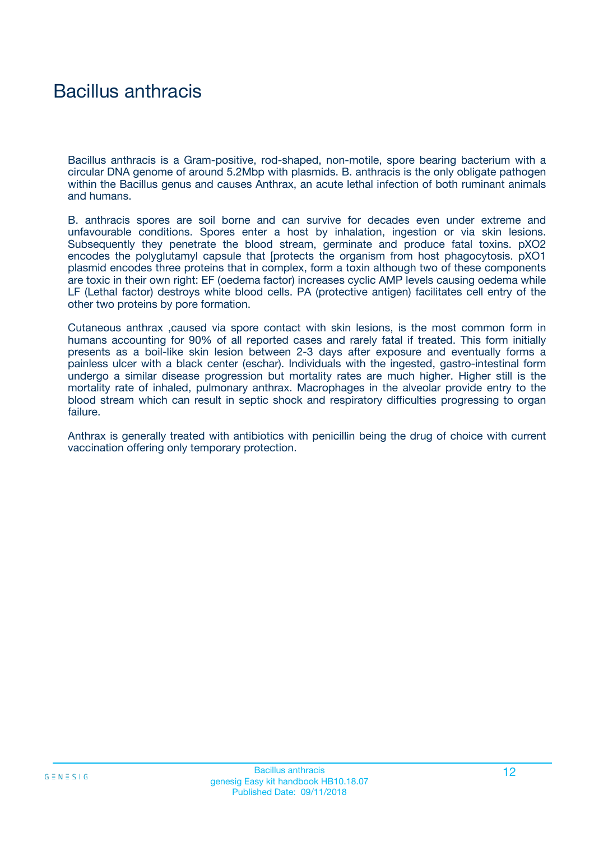## Bacillus anthracis

Bacillus anthracis is a Gram-positive, rod-shaped, non-motile, spore bearing bacterium with a circular DNA genome of around 5.2Mbp with plasmids. B. anthracis is the only obligate pathogen within the Bacillus genus and causes Anthrax, an acute lethal infection of both ruminant animals and humans.

B. anthracis spores are soil borne and can survive for decades even under extreme and unfavourable conditions. Spores enter a host by inhalation, ingestion or via skin lesions. Subsequently they penetrate the blood stream, germinate and produce fatal toxins. pXO2 encodes the polyglutamyl capsule that [protects the organism from host phagocytosis. pXO1 plasmid encodes three proteins that in complex, form a toxin although two of these components are toxic in their own right: EF (oedema factor) increases cyclic AMP levels causing oedema while LF (Lethal factor) destroys white blood cells. PA (protective antigen) facilitates cell entry of the other two proteins by pore formation.

Cutaneous anthrax ,caused via spore contact with skin lesions, is the most common form in humans accounting for 90% of all reported cases and rarely fatal if treated. This form initially presents as a boil-like skin lesion between 2-3 days after exposure and eventually forms a painless ulcer with a black center (eschar). Individuals with the ingested, gastro-intestinal form undergo a similar disease progression but mortality rates are much higher. Higher still is the mortality rate of inhaled, pulmonary anthrax. Macrophages in the alveolar provide entry to the blood stream which can result in septic shock and respiratory difficulties progressing to organ failure.

Anthrax is generally treated with antibiotics with penicillin being the drug of choice with current vaccination offering only temporary protection.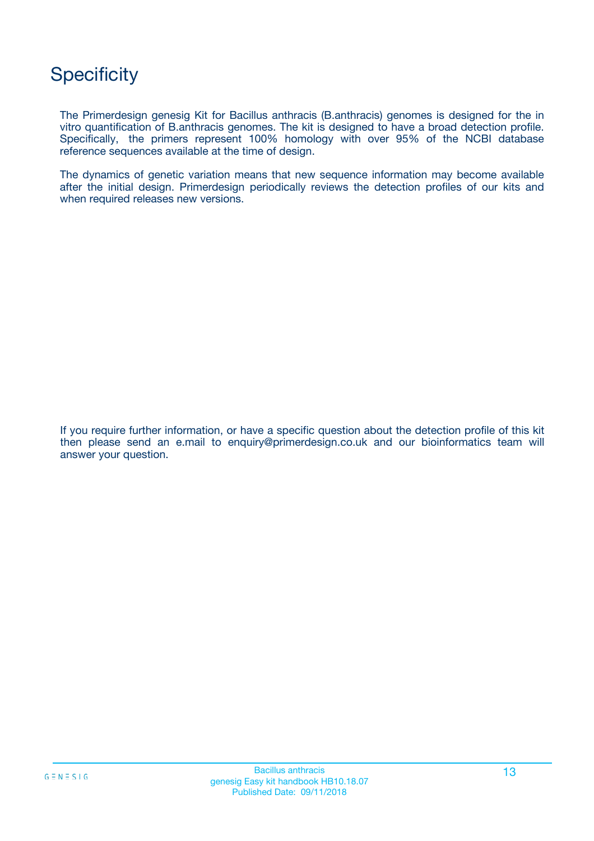## **Specificity**

The Primerdesign genesig Kit for Bacillus anthracis (B.anthracis) genomes is designed for the in vitro quantification of B.anthracis genomes. The kit is designed to have a broad detection profile. Specifically, the primers represent 100% homology with over 95% of the NCBI database reference sequences available at the time of design.

The dynamics of genetic variation means that new sequence information may become available after the initial design. Primerdesign periodically reviews the detection profiles of our kits and when required releases new versions.

If you require further information, or have a specific question about the detection profile of this kit then please send an e.mail to enquiry@primerdesign.co.uk and our bioinformatics team will answer your question.